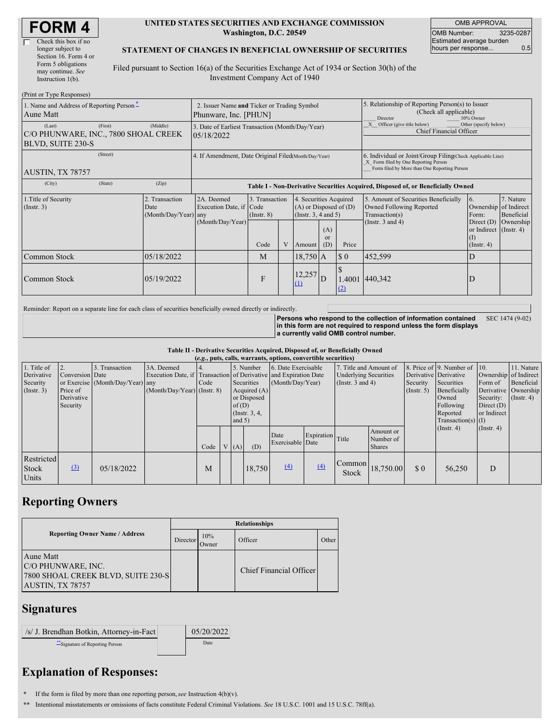| <b>FORM4</b> |
|--------------|
|--------------|

| Check this box if no  |
|-----------------------|
| longer subject to     |
| Section 16. Form 4 or |
| Form 5 obligations    |
| may continue. See     |
| Instruction 1(b).     |
|                       |

#### **UNITED STATES SECURITIES AND EXCHANGE COMMISSION Washington, D.C. 20549**

OMB APPROVAL OMB Number: 3235-0287 Estimated average burden hours per response... 0.5

#### **STATEMENT OF CHANGES IN BENEFICIAL OWNERSHIP OF SECURITIES**

Filed pursuant to Section 16(a) of the Securities Exchange Act of 1934 or Section 30(h) of the Investment Company Act of 1940

| (Print or Type Responses)                                                  |                                                                                                                                                                                                              |                                                                      |                  |                                                                                                                                                              |   |               |                                                                                                                                                    |                                                                                                     |                                                                                  |                                                                                |  |  |
|----------------------------------------------------------------------------|--------------------------------------------------------------------------------------------------------------------------------------------------------------------------------------------------------------|----------------------------------------------------------------------|------------------|--------------------------------------------------------------------------------------------------------------------------------------------------------------|---|---------------|----------------------------------------------------------------------------------------------------------------------------------------------------|-----------------------------------------------------------------------------------------------------|----------------------------------------------------------------------------------|--------------------------------------------------------------------------------|--|--|
| 1. Name and Address of Reporting Person-<br>Aune Matt                      |                                                                                                                                                                                                              | 2. Issuer Name and Ticker or Trading Symbol<br>Phunware, Inc. [PHUN] |                  |                                                                                                                                                              |   |               |                                                                                                                                                    | 5. Relationship of Reporting Person(s) to Issuer<br>(Check all applicable)<br>Director<br>10% Owner |                                                                                  |                                                                                |  |  |
| (Last)<br>C/O PHUNWARE, INC., 7800 SHOAL CREEK<br><b>BLVD, SUITE 230-S</b> | (Middle)                                                                                                                                                                                                     | 3. Date of Earliest Transaction (Month/Day/Year)<br>05/18/2022       |                  |                                                                                                                                                              |   |               |                                                                                                                                                    | Other (specify below)<br>X Officer (give title below)<br><b>Chief Financial Officer</b>             |                                                                                  |                                                                                |  |  |
| AUSTIN, TX 78757                                                           |                                                                                                                                                                                                              | 4. If Amendment, Date Original Filed(Month/Day/Year)                 |                  |                                                                                                                                                              |   |               | 6. Individual or Joint/Group Filing(Check Applicable Line)<br>X Form filed by One Reporting Person<br>Form filed by More than One Reporting Person |                                                                                                     |                                                                                  |                                                                                |  |  |
| (City)                                                                     | (State)                                                                                                                                                                                                      | (Zip)                                                                |                  |                                                                                                                                                              |   |               |                                                                                                                                                    |                                                                                                     | Table I - Non-Derivative Securities Acquired, Disposed of, or Beneficially Owned |                                                                                |  |  |
| 1. Title of Security<br>(Insert. 3)                                        | 2. Transaction<br>2A. Deemed<br>4. Securities Acquired<br>3. Transaction<br>Execution Date, if Code<br>$(A)$ or Disposed of $(D)$<br>Date<br>(Insert. 3, 4 and 5)<br>(Month/Day/Year) any<br>$($ Instr. $8)$ |                                                                      |                  | 5. Amount of Securities Beneficially<br>7. Nature<br><b>6.</b><br>Owned Following Reported<br>Ownership of Indirect<br>Transaction(s)<br>Beneficial<br>Form: |   |               |                                                                                                                                                    |                                                                                                     |                                                                                  |                                                                                |  |  |
|                                                                            |                                                                                                                                                                                                              |                                                                      | (Month/Day/Year) | Code                                                                                                                                                         | V | Amount        | (A)<br>$\alpha$<br>(D)                                                                                                                             | Price                                                                                               | (Instr. $3$ and $4$ )                                                            | Direct $(D)$ Ownership<br>or Indirect (Instr. 4)<br>$($ I)<br>$($ Instr. 4 $)$ |  |  |
| Common Stock                                                               |                                                                                                                                                                                                              | 05/18/2022                                                           |                  | M                                                                                                                                                            |   | $18,750$ A    |                                                                                                                                                    | $\boldsymbol{\mathsf{S}}$ 0                                                                         | 452,599                                                                          | D                                                                              |  |  |
| <b>Common Stock</b>                                                        |                                                                                                                                                                                                              | 05/19/2022                                                           |                  | F                                                                                                                                                            |   | 12,257<br>(1) | D                                                                                                                                                  | .4001<br>(2)                                                                                        | 440,342                                                                          | ID                                                                             |  |  |

Reminder: Report on a separate line for each class of securities beneficially owned directly or indirectly.

**Persons who respond to the collection of information contained in this form are not required to respond unless the form displays a currently valid OMB control number.** SEC 1474 (9-02)

**Table II - Derivative Securities Acquired, Disposed of, or Beneficially Owned**

| (e.g., puts, calls, warrants, options, convertible securities) |                                                       |                                                 |                                           |      |  |                      |                                                                             |                                                                                                             |            |                                                                                 |                                                                   |                                                                                                                                                                               |                                                                         |                                                                           |  |
|----------------------------------------------------------------|-------------------------------------------------------|-------------------------------------------------|-------------------------------------------|------|--|----------------------|-----------------------------------------------------------------------------|-------------------------------------------------------------------------------------------------------------|------------|---------------------------------------------------------------------------------|-------------------------------------------------------------------|-------------------------------------------------------------------------------------------------------------------------------------------------------------------------------|-------------------------------------------------------------------------|---------------------------------------------------------------------------|--|
| 1. Title of<br>Derivative<br>Security<br>(Insert. 3)           | Conversion Date<br>Price of<br>Derivative<br>Security | Transaction<br>or Exercise (Month/Day/Year) any | 3A. Deemed<br>(Month/Day/Year) (Instr. 8) | Code |  | of $(D)$<br>and $5)$ | 5. Number<br>Securities<br>Acquired $(A)$<br>or Disposed<br>(Instr. $3, 4,$ | 6. Date Exercisable<br>Execution Date, if Transaction of Derivative and Expiration Date<br>(Month/Day/Year) |            | 7. Title and Amount of<br><b>Underlying Securities</b><br>(Instr. $3$ and $4$ ) |                                                                   | 8. Price of 9. Number of 10.<br>Derivative Derivative<br>Securities<br>Security<br>Beneficially<br>$($ Instr. 5 $)$<br>Owned<br>Following<br>Reported<br>$Transaction(s)$ (I) | Form of<br>Security: $(\text{Instr. 4})$<br>Direct $(D)$<br>or Indirect | 11. Nature<br>Ownership of Indirect<br>Beneficial<br>Derivative Ownership |  |
|                                                                |                                                       |                                                 |                                           | Code |  | V(A)                 | (D)                                                                         | Date<br>Exercisable Date                                                                                    | Expiration | Title                                                                           | Amount or<br>Number of<br><b>Shares</b>                           |                                                                                                                                                                               | $($ Instr. 4 $)$                                                        | $($ Instr. 4 $)$                                                          |  |
| Restricted<br>Stock<br><b>Units</b>                            | $\Omega$                                              | 05/18/2022                                      |                                           | M    |  |                      | 18,750                                                                      | $\Delta$                                                                                                    | (4)        | Stock                                                                           | $\begin{bmatrix} \text{Common} \\ \text{18,750.00} \end{bmatrix}$ | \$0                                                                                                                                                                           | 56,250                                                                  | D                                                                         |  |

## **Reporting Owners**

|                                                                                                  | <b>Relationships</b> |               |                         |       |  |  |  |
|--------------------------------------------------------------------------------------------------|----------------------|---------------|-------------------------|-------|--|--|--|
| <b>Reporting Owner Name / Address</b>                                                            |                      | 10%<br>Owner) | Officer                 | Other |  |  |  |
| Aune Matt<br><b>C/O PHUNWARE, INC.</b><br>7800 SHOAL CREEK BLVD, SUITE 230-S<br>AUSTIN, TX 78757 |                      |               | Chief Financial Officer |       |  |  |  |

### **Signatures**

| $ $ /s/ J. Brendhan Botkin, Attorney-in-Fact | 05/20/2022 |
|----------------------------------------------|------------|
| Signature of Reporting Person                | Date       |

# **Explanation of Responses:**

**\*** If the form is filed by more than one reporting person,*see* Instruction 4(b)(v).

**\*\*** Intentional misstatements or omissions of facts constitute Federal Criminal Violations. *See* 18 U.S.C. 1001 and 15 U.S.C. 78ff(a).